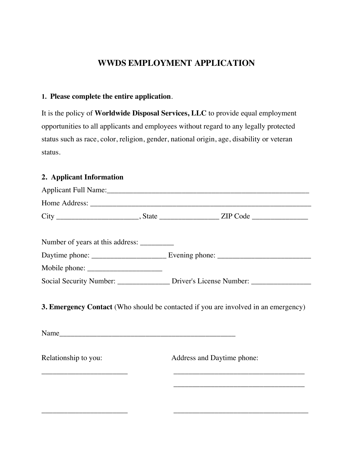# **WWDS EMPLOYMENT APPLICATION**

#### **1. Please complete the entire application**.

It is the policy of **Worldwide Disposal Services, LLC** to provide equal employment opportunities to all applicants and employees without regard to any legally protected status such as race, color, religion, gender, national origin, age, disability or veteran status.

#### **2. Applicant Information**

| Number of years at this address: |  |                                                                                                                                                     |  |
|----------------------------------|--|-----------------------------------------------------------------------------------------------------------------------------------------------------|--|
|                                  |  |                                                                                                                                                     |  |
|                                  |  |                                                                                                                                                     |  |
|                                  |  | Social Security Number: _________________ Driver's License Number: _____________                                                                    |  |
|                                  |  |                                                                                                                                                     |  |
| Relationship to you:             |  | Address and Daytime phone:<br><u> 1989 - Johann Stein, marwolaethau a bhann an t-Amhain ann an t-Amhain an t-Amhain an t-Amhain an t-Amhain an </u> |  |
|                                  |  |                                                                                                                                                     |  |
|                                  |  |                                                                                                                                                     |  |
|                                  |  |                                                                                                                                                     |  |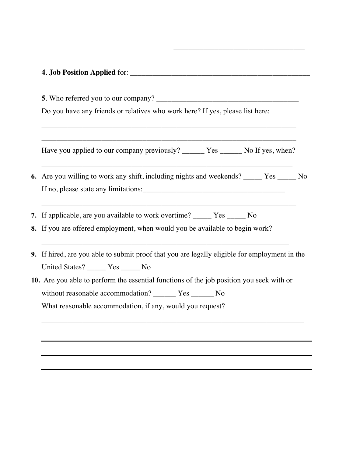| Do you have any friends or relatives who work here? If yes, please list here:                                                                                                                   |  |
|-------------------------------------------------------------------------------------------------------------------------------------------------------------------------------------------------|--|
|                                                                                                                                                                                                 |  |
| Have you applied to our company previously? _______ Yes _______ No If yes, when?                                                                                                                |  |
| 6. Are you willing to work any shift, including nights and weekends? _____ Yes _____ No                                                                                                         |  |
|                                                                                                                                                                                                 |  |
| and the control of the control of the control of the control of the control of the control of the control of the<br>7. If applicable, are you available to work overtime? _______ Yes ______ No |  |
| 8. If you are offered employment, when would you be available to begin work?                                                                                                                    |  |
| 9. If hired, are you able to submit proof that you are legally eligible for employment in the                                                                                                   |  |
| United States? ______ Yes _____ No                                                                                                                                                              |  |
| 10. Are you able to perform the essential functions of the job position you seek with or                                                                                                        |  |
| without reasonable accommodation? ________ Yes _______ No                                                                                                                                       |  |
| What reasonable accommodation, if any, would you request?                                                                                                                                       |  |
|                                                                                                                                                                                                 |  |
|                                                                                                                                                                                                 |  |

\_\_\_\_\_\_\_\_\_\_\_\_\_\_\_\_\_\_\_\_\_\_\_\_\_\_\_\_\_\_\_\_\_\_\_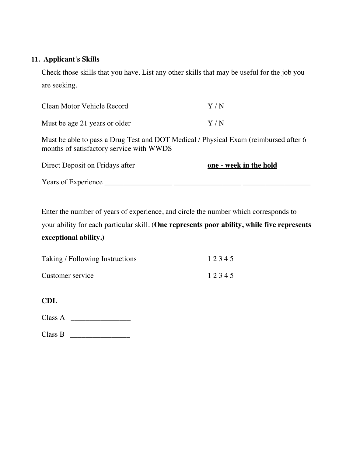# **11. Applicant's Skills**

Check those skills that you have. List any other skills that may be useful for the job you are seeking.

| Clean Motor Vehicle Record                                                                                                       | Y / N                  |
|----------------------------------------------------------------------------------------------------------------------------------|------------------------|
| Must be age 21 years or older                                                                                                    | Y/N                    |
| Must be able to pass a Drug Test and DOT Medical / Physical Exam (reimbursed after 6<br>months of satisfactory service with WWDS |                        |
| Direct Deposit on Fridays after                                                                                                  | one - week in the hold |
| Years of Experience                                                                                                              |                        |

Enter the number of years of experience, and circle the number which corresponds to your ability for each particular skill. (**One represents poor ability, while five represents exceptional ability.)** 

| Taking / Following Instructions | 12345 |
|---------------------------------|-------|
| Customer service                | 12345 |

**CDL** 

Class A \_\_\_\_\_\_\_\_\_\_\_\_\_\_\_\_

Class B \_\_\_\_\_\_\_\_\_\_\_\_\_\_\_\_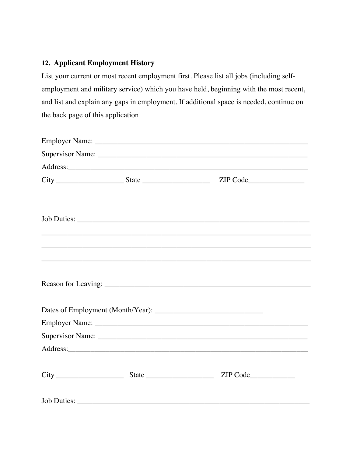### **12. Applicant Employment History**

List your current or most recent employment first. Please list all jobs (including selfemployment and military service) which you have held, beginning with the most recent, and list and explain any gaps in employment. If additional space is needed, continue on the back page of this application.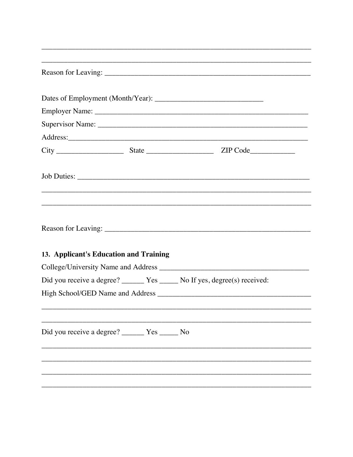| 13. Applicant's Education and Training             |                                                                             |
|----------------------------------------------------|-----------------------------------------------------------------------------|
|                                                    |                                                                             |
|                                                    | Did you receive a degree? _______ Yes ______ No If yes, degree(s) received: |
|                                                    |                                                                             |
|                                                    |                                                                             |
| Did you receive a degree? _________ Yes _______ No |                                                                             |
|                                                    |                                                                             |
|                                                    |                                                                             |
|                                                    |                                                                             |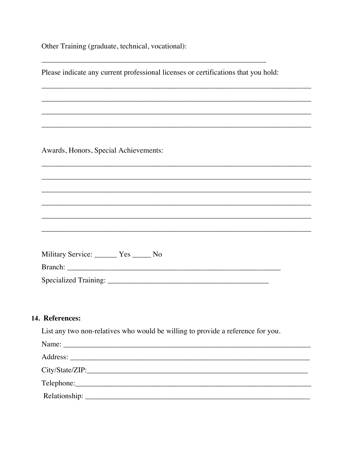Other Training (graduate, technical, vocational):

| Please indicate any current professional licenses or certifications that you hold: |
|------------------------------------------------------------------------------------|
|                                                                                    |
|                                                                                    |
|                                                                                    |
|                                                                                    |
| Awards, Honors, Special Achievements:                                              |
|                                                                                    |
|                                                                                    |
|                                                                                    |
|                                                                                    |
|                                                                                    |
|                                                                                    |
| Military Service: ________ Yes ______ No                                           |
|                                                                                    |
|                                                                                    |

## 14. References:

List any two non-relatives who would be willing to provide a reference for you.

| Name: |  |
|-------|--|
|       |  |
|       |  |
|       |  |
|       |  |